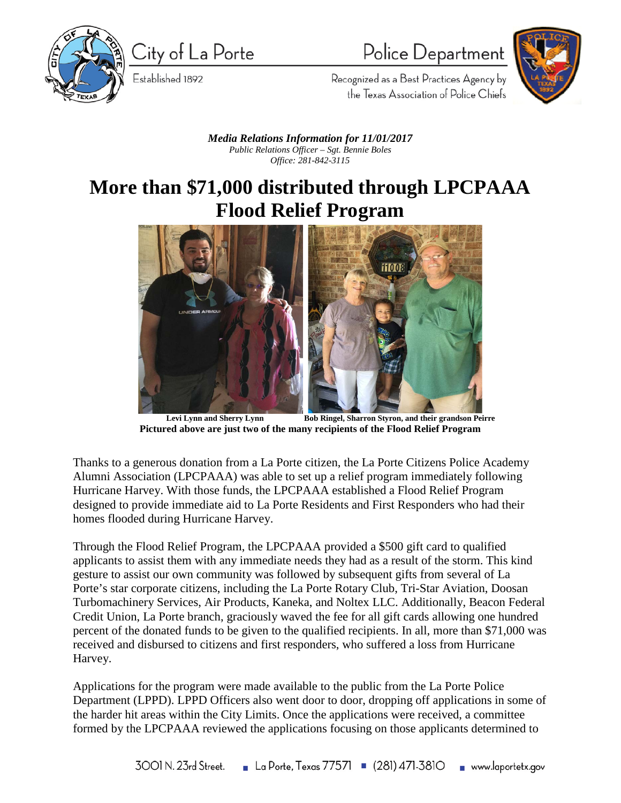

City of La Porte

Established 1892

# Police Department



Recognized as a Best Practices Agency by the Texas Association of Police Chiefs

#### *Media Relations Information for 11/01/2017 Public Relations Officer – Sgt. Bennie Boles Office: 281-842-3115*

### **More than \$71,000 distributed through LPCPAAA Flood Relief Program**



Levi Lynn and Sherry Lynn Bob Ringel, Sharron Styron, and their grandson Peirre **Pictured above are just two of the many recipients of the Flood Relief Program**

Thanks to a generous donation from a La Porte citizen, the La Porte Citizens Police Academy Alumni Association (LPCPAAA) was able to set up a relief program immediately following Hurricane Harvey. With those funds, the LPCPAAA established a Flood Relief Program designed to provide immediate aid to La Porte Residents and First Responders who had their homes flooded during Hurricane Harvey.

Through the Flood Relief Program, the LPCPAAA provided a \$500 gift card to qualified applicants to assist them with any immediate needs they had as a result of the storm. This kind gesture to assist our own community was followed by subsequent gifts from several of La Porte's star corporate citizens, including the La Porte Rotary Club, Tri-Star Aviation, Doosan Turbomachinery Services, Air Products, Kaneka, and Noltex LLC. Additionally, Beacon Federal Credit Union, La Porte branch, graciously waved the fee for all gift cards allowing one hundred percent of the donated funds to be given to the qualified recipients. In all, more than \$71,000 was received and disbursed to citizens and first responders, who suffered a loss from Hurricane Harvey.

Applications for the program were made available to the public from the La Porte Police Department (LPPD). LPPD Officers also went door to door, dropping off applications in some of the harder hit areas within the City Limits. Once the applications were received, a committee formed by the LPCPAAA reviewed the applications focusing on those applicants determined to